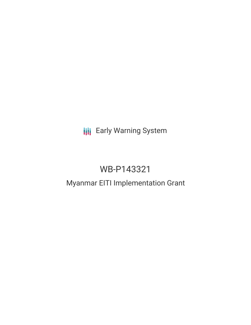## **III** Early Warning System

# WB-P143321

### Myanmar EITI Implementation Grant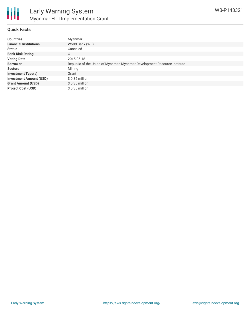

#### **Quick Facts**

| <b>Countries</b>               | Myanmar                                                                  |
|--------------------------------|--------------------------------------------------------------------------|
| <b>Financial Institutions</b>  | World Bank (WB)                                                          |
| <b>Status</b>                  | Canceled                                                                 |
| <b>Bank Risk Rating</b>        | C                                                                        |
| <b>Voting Date</b>             | 2015-05-18                                                               |
| <b>Borrower</b>                | Republic of the Union of Myanmar, Myanmar Development Resource Institute |
| <b>Sectors</b>                 | Mining                                                                   |
| <b>Investment Type(s)</b>      | Grant                                                                    |
| <b>Investment Amount (USD)</b> | $$0.35$ million                                                          |
| <b>Grant Amount (USD)</b>      | $$0.35$ million                                                          |
| <b>Project Cost (USD)</b>      | $$0.35$ million                                                          |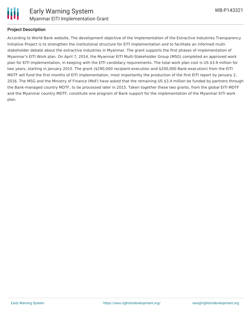

#### **Project Description**

According to World Bank website, The development objective of the Implementation of the Extractive Industries Transparency Initiative Project is to strengthen the institutional structure for EITI implementation and to facilitate an informed multistakeholder debate about the extractive industries in Myanmar. The grant supports the first phases of implementation of Myanmar's EITI Work plan. On April 7, 2014, the Myanmar EITI Multi-Stakeholder Group (MSG) completed an approved work plan for EITI implementation, in keeping with the EITI candidacy requirements. The total work plan cost is US \$3.9 million for two years, starting in January 2015. The grant (\$290,000 recipient-execution and \$200,000 Bank-execution) from the EITI MDTF will fund the first months of EITI implementation, most importantly the production of the first EITI report by January 2, 2016. The MSG and the Ministry of Finance (MoF) have asked that the remaining US \$3.4 million be funded by partners through the Bank-managed country MDTF, to be processed later in 2015. Taken together these two grants, from the global EITI MDTF and the Myanmar country MDTF, constitute one program of Bank support for the implementation of the Myanmar EITI work plan.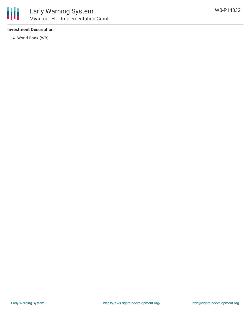

#### **Investment Description**

World Bank (WB)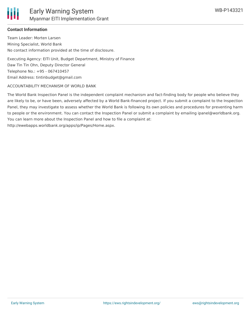

### **Contact Information**

Team Leader: Morten Larsen Mining Specialist, World Bank No contact information provided at the time of disclosure.

Executing Agency: EITI Unit, Budget Department, Ministry of Finance Daw Tin Tin Ohn, Deputy Director General Telephone No.: +95 - 067410457 Email Address: tintinbudget@gmail.com

#### ACCOUNTABILITY MECHANISM OF WORLD BANK

The World Bank Inspection Panel is the independent complaint mechanism and fact-finding body for people who believe they are likely to be, or have been, adversely affected by a World Bank-financed project. If you submit a complaint to the Inspection Panel, they may investigate to assess whether the World Bank is following its own policies and procedures for preventing harm to people or the environment. You can contact the Inspection Panel or submit a complaint by emailing ipanel@worldbank.org. You can learn more about the Inspection Panel and how to file a complaint at: http://ewebapps.worldbank.org/apps/ip/Pages/Home.aspx.